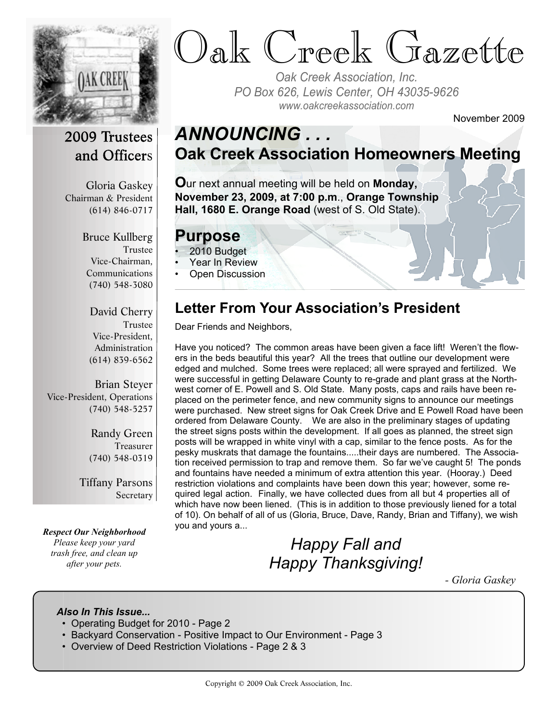

# Oak Creek Gazette

*Oak Creek Association, Inc. PO Box 626, Lewis Center, OH 43035-9626 www.oakcreekassociation.com*

November 2009

#### 2009 Trustees and Officers

Gloria Gaskey Chairman & President (614) 846-0717

> Bruce Kullberg Trustee Vice-Chairman, Communications (740) 548-3080

David Cherry Trustee Vice-President, Administration (614) 839-6562

Brian Steyer Vice-President, Operations (740) 548-5257

> Randy Green Treasurer (740) 548-0319

Tiffany Parsons Secretary

*Respect Our Neighborhood Please keep your yard trash free, and clean up after your pets.*

### *ANNOUNCING . . .* **Oak Creek Association Homeowners Meeting**

**O**ur next annual meeting will be held on **Monday, November 23, 2009, at 7:00 p.m**., **Orange Township Hall, 1680 E. Orange Road** (west of S. Old State).

#### **Purpose**

- 2010 Budget
- Year In Review
- Open Discussion

#### **Letter From Your Association's President**

Dear Friends and Neighbors,

Have you noticed? The common areas have been given a face lift! Weren't the flowers in the beds beautiful this year? All the trees that outline our development were edged and mulched. Some trees were replaced; all were sprayed and fertilized. We were successful in getting Delaware County to re-grade and plant grass at the Northwest corner of E. Powell and S. Old State. Many posts, caps and rails have been replaced on the perimeter fence, and new community signs to announce our meetings were purchased. New street signs for Oak Creek Drive and E Powell Road have been ordered from Delaware County. We are also in the preliminary stages of updating the street signs posts within the development. If all goes as planned, the street sign posts will be wrapped in white vinyl with a cap, similar to the fence posts. As for the pesky muskrats that damage the fountains.....their days are numbered. The Association received permission to trap and remove them. So far we've caught 5! The ponds and fountains have needed a minimum of extra attention this year. (Hooray.) Deed restriction violations and complaints have been down this year; however, some required legal action. Finally, we have collected dues from all but 4 properties all of which have now been liened. (This is in addition to those previously liened for a total of 10). On behalf of all of us (Gloria, Bruce, Dave, Randy, Brian and Tiffany), we wish you and yours a...

## *Happy Fall and Happy Thanksgiving!*

*- Gloria Gaskey*

#### *Also In This Issue...*

- Operating Budget for 2010 Page 2
- Backyard Conservation Positive Impact to Our Environment Page 3
- Overview of Deed Restriction Violations Page 2 & 3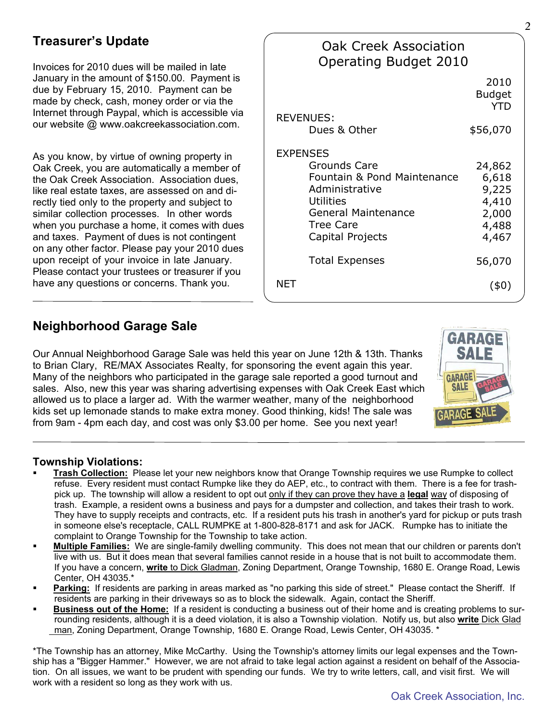#### **Treasurer's Update**

Invoices for 2010 dues will be mailed in late January in the amount of \$150.00. Payment is due by February 15, 2010. Payment can be made by check, cash, money order or via the Internet through Paypal, which is accessible via our website @ www.oakcreekassociation.com.

As you know, by virtue of owning property in Oak Creek, you are automatically a member of the Oak Creek Association. Association dues, like real estate taxes, are assessed on and directly tied only to the property and subject to similar collection processes. In other words when you purchase a home, it comes with dues and taxes. Payment of dues is not contingent on any other factor. Please pay your 2010 dues upon receipt of your invoice in late January. Please contact your trustees or treasurer if you have any questions or concerns. Thank you.

| <b>Oak Creek Association</b><br><b>Operating Budget 2010</b>                                                                                                               |                                                              |
|----------------------------------------------------------------------------------------------------------------------------------------------------------------------------|--------------------------------------------------------------|
|                                                                                                                                                                            | 2010<br><b>Budget</b><br><b>YTD</b>                          |
| <b>REVENUES:</b><br>Dues & Other                                                                                                                                           | \$56,070                                                     |
|                                                                                                                                                                            |                                                              |
| <b>EXPENSES</b><br>Grounds Care<br>Fountain & Pond Maintenance<br>Administrative<br><b>Utilities</b><br><b>General Maintenance</b><br><b>Tree Care</b><br>Capital Projects | 24,862<br>6,618<br>9,225<br>4,410<br>2,000<br>4,488<br>4,467 |
| <b>Total Expenses</b>                                                                                                                                                      | 56,070                                                       |
| NFT                                                                                                                                                                        | (40)                                                         |

#### **Neighborhood Garage Sale**

Our Annual Neighborhood Garage Sale was held this year on June 12th & 13th. Thanks to Brian Clary, RE/MAX Associates Realty, for sponsoring the event again this year. Many of the neighbors who participated in the garage sale reported a good turnout and sales. Also, new this year was sharing advertising expenses with Oak Creek East which allowed us to place a larger ad. With the warmer weather, many of the neighborhood kids set up lemonade stands to make extra money. Good thinking, kids! The sale was from 9am - 4pm each day, and cost was only \$3.00 per home. See you next year!



#### **Township Violations:**

- ß **Trash Collection:** Please let your new neighbors know that Orange Township requires we use Rumpke to collect refuse. Every resident must contact Rumpke like they do AEP, etc., to contract with them. There is a fee for trash pick up. The township will allow a resident to opt out only if they can prove they have a **legal** way of disposing of trash. Example, a resident owns a business and pays for a dumpster and collection, and takes their trash to work. They have to supply receipts and contracts, etc. If a resident puts his trash in another's yard for pickup or puts trash in someone else's receptacle, CALL RUMPKE at 1-800-828-8171 and ask for JACK. Rumpke has to initiate the complaint to Orange Township for the Township to take action.
- ß **Multiple Families:** We are single-family dwelling community. This does not mean that our children or parents don't live with us. But it does mean that several families cannot reside in a house that is not built to accommodate them. If you have a concern, **write** to Dick Gladman, Zoning Department, Orange Township, 1680 E. Orange Road, Lewis Center, OH 43035.\*
- Parking: If residents are parking in areas marked as "no parking this side of street." Please contact the Sheriff. If residents are parking in their driveways so as to block the sidewalk. Again, contact the Sheriff.
- ß **Business out of the Home:** If a resident is conducting a business out of their home and is creating problems to sur rounding residents, although it is a deed violation, it is also a Township violation. Notify us, but also **write** Dick Glad man, Zoning Department, Orange Township, 1680 E. Orange Road, Lewis Center, OH 43035. \*

\*The Township has an attorney, Mike McCarthy. Using the Township's attorney limits our legal expenses and the Township has a "Bigger Hammer." However, we are not afraid to take legal action against a resident on behalf of the Association. On all issues, we want to be prudent with spending our funds. We try to write letters, call, and visit first. We will work with a resident so long as they work with us.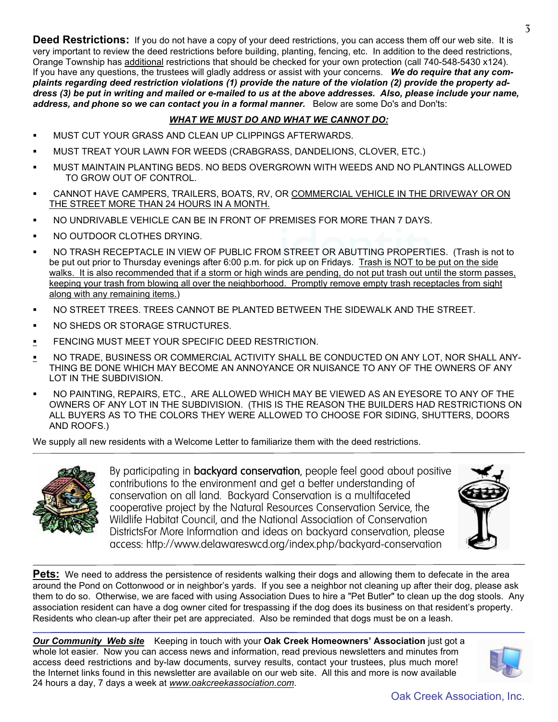**Deed Restrictions:** If you do not have a copy of your deed restrictions, you can access them off our web site. It is very important to review the deed restrictions before building, planting, fencing, etc. In addition to the deed restrictions, Orange Township has additional restrictions that should be checked for your own protection (call 740-548-5430 x124). If you have any questions, the trustees will gladly address or assist with your concerns. *We do require that any complaints regarding deed restriction violations (1) provide the nature of the violation (2) provide the property address (3) be put in writing and mailed or e-mailed to us at the above addresses. Also, please include your name, address, and phone so we can contact you in a formal manner.* Below are some Do's and Don'ts:

#### *WHAT WE MUST DO AND WHAT WE CANNOT DO:*

- ß MUST CUT YOUR GRASS AND CLEAN UP CLIPPINGS AFTERWARDS.
- ß MUST TREAT YOUR LAWN FOR WEEDS (CRABGRASS, DANDELIONS, CLOVER, ETC.)
- ß MUST MAINTAIN PLANTING BEDS. NO BEDS OVERGROWN WITH WEEDS AND NO PLANTINGS ALLOWED TO GROW OUT OF CONTROL.
- ß CANNOT HAVE CAMPERS, TRAILERS, BOATS, RV, OR COMMERCIAL VEHICLE IN THE DRIVEWAY OR ON THE STREET MORE THAN 24 HOURS IN A MONTH.
- ß NO UNDRIVABLE VEHICLE CAN BE IN FRONT OF PREMISES FOR MORE THAN 7 DAYS.
- ß NO OUTDOOR CLOTHES DRYING.
- EMISES FOR MORE THAN 7 BATS.<br>I STREET OR ABUTTING PROPERTIES.<br>bick up on Fridays. Trash is NOT to be pu ß NO TRASH RECEPTACLE IN VIEW OF PUBLIC FROM STREET OR ABUTTING PROPERTIES. (Trash is not to be put out prior to Thursday evenings after 6:00 p.m. for pick up on Fridays. Trash is NOT to be put on the side walks. It is also recommended that if a storm or high winds are pending, do not put trash out until the storm passes, keeping your trash from blowing all over the neighborhood. Promptly remove empty trash receptacles from sight along with any remaining items.)
- ß NO STREET TREES. TREES CANNOT BE PLANTED BETWEEN THE SIDEWALK AND THE STREET.
- ß NO SHEDS OR STORAGE STRUCTURES.
- **FENCING MUST MEET YOUR SPECIFIC DEED RESTRICTION.**
- **NO TRADE, BUSINESS OR COMMERCIAL ACTIVITY SHALL BE CONDUCTED ON ANY LOT, NOR SHALL ANY-**THING BE DONE WHICH MAY BECOME AN ANNOYANCE OR NUISANCE TO ANY OF THE OWNERS OF ANY LOT IN THE SUBDIVISION.
- ß NO PAINTING, REPAIRS, ETC., ARE ALLOWED WHICH MAY BE VIEWED AS AN EYESORE TO ANY OF THE OWNERS OF ANY LOT IN THE SUBDIVISION. (THIS IS THE REASON THE BUILDERS HAD RESTRICTIONS ON ALL BUYERS AS TO THE COLORS THEY WERE ALLOWED TO CHOOSE FOR SIDING, SHUTTERS, DOORS AND ROOFS.)

We supply all new residents with a Welcome Letter to familiarize them with the deed restrictions.



By participating in **backyard conservation**, people feel good about positive contributions to the environment and get a better understanding of conservation on all land. Backyard Conservation is a multifaceted cooperative project by the Natural Resources Conservation Service, the Wildlife Habitat Council, and the National Association of Conservation DistrictsFor More Information and ideas on backyard conservation, please access: http://www.delawareswcd.org/index.php/backyard-conservation



**Pets:** We need to address the persistence of residents walking their dogs and allowing them to defecate in the area around the Pond on Cottonwood or in neighbor's yards. If you see a neighbor not cleaning up after their dog, please ask them to do so. Otherwise, we are faced with using Association Dues to hire a "Pet Butler" to clean up the dog stools. Any association resident can have a dog owner cited for trespassing if the dog does its business on that resident's property. Residents who clean-up after their pet are appreciated. Also be reminded that dogs must be on a leash.

*Our Community Web site* Keeping in touch with your **Oak Creek Homeowners' Association** just got a whole lot easier. Now you can access news and information, read previous newsletters and minutes from access deed restrictions and by-law documents, survey results, contact your trustees, plus much more! the Internet links found in this newsletter are available on our web site. All this and more is now available 24 hours a day, 7 days a week at *www.oakcreekassociation.com*.